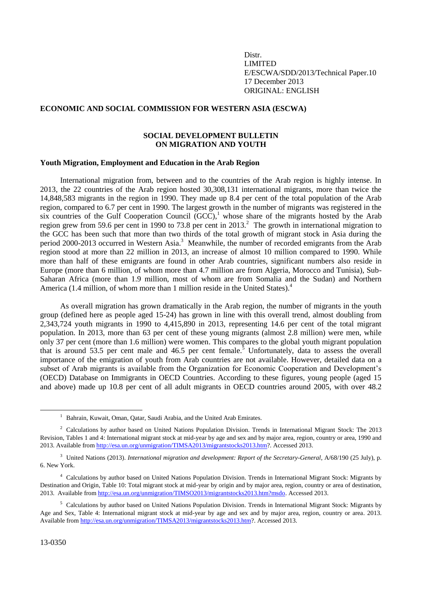Distr. LIMITED E/ESCWA/SDD/2013/Technical Paper.10 17 December 2013 ORIGINAL: ENGLISH

# **ECONOMIC AND SOCIAL COMMISSION FOR WESTERN ASIA (ESCWA)**

# **SOCIAL DEVELOPMENT BULLETIN ON MIGRATION AND YOUTH**

### **Youth Migration, Employment and Education in the Arab Region**

International migration from, between and to the countries of the Arab region is highly intense. In 2013, the 22 countries of the Arab region hosted 30,308,131 international migrants, more than twice the 14,848,583 migrants in the region in 1990. They made up 8.4 per cent of the total population of the Arab region, compared to 6.7 per cent in 1990. The largest growth in the number of migrants was registered in the six countries of the Gulf Cooperation Council  $(GCC)$ ,<sup>1</sup> whose share of the migrants hosted by the Arab region grew from 59.6 per cent in 1990 to 73.8 per cent in 2013.<sup>2</sup> The growth in international migration to the GCC has been such that more than two thirds of the total growth of migrant stock in Asia during the period 2000-2013 occurred in Western Asia.<sup>3</sup> Meanwhile, the number of recorded emigrants from the Arab region stood at more than 22 million in 2013, an increase of almost 10 million compared to 1990. While more than half of these emigrants are found in other Arab countries, significant numbers also reside in Europe (more than 6 million, of whom more than 4.7 million are from Algeria, Morocco and Tunisia), Sub-Saharan Africa (more than 1.9 million, most of whom are from Somalia and the Sudan) and Northern America (1.4 million, of whom more than 1 million reside in the United States).<sup>4</sup>

As overall migration has grown dramatically in the Arab region, the number of migrants in the youth group (defined here as people aged 15-24) has grown in line with this overall trend, almost doubling from 2,343,724 youth migrants in 1990 to 4,415,890 in 2013, representing 14.6 per cent of the total migrant population. In 2013, more than 63 per cent of these young migrants (almost 2.8 million) were men, while only 37 per cent (more than 1.6 million) were women. This compares to the global youth migrant population that is around 53.5 per cent male and  $46.5$  per cent female.<sup>5</sup> Unfortunately, data to assess the overall importance of the emigration of youth from Arab countries are not available. However, detailed data on a subset of Arab migrants is available from the Organization for Economic Cooperation and Development's (OECD) Database on Immigrants in OECD Countries. According to these figures, young people (aged 15 and above) made up 10.8 per cent of all adult migrants in OECD countries around 2005, with over 48.2

<sup>&</sup>lt;sup>1</sup> Bahrain, Kuwait, Oman, Oatar, Saudi Arabia, and the United Arab Emirates.

<sup>&</sup>lt;sup>2</sup> Calculations by author based on United Nations Population Division. Trends in International Migrant Stock: The 2013 Revision, Tables 1 and 4: International migrant stock at mid-year by age and sex and by major area, region, country or area, 1990 and 2013. Available from [http://esa.un.org/unmigration/TIMSA2013/migrantstocks2013.htm?](http://esa.un.org/unmigration/TIMSA2013/migrantstocks2013.htm). Accessed 2013.

<sup>3</sup> United Nations (2013). *International migration and development: Report of the Secretary-General*, A/68/190 (25 July), p. 6. New York.

<sup>4</sup> Calculations by author based on United Nations Population Division. Trends in International Migrant Stock: Migrants by Destination and Origin, Table 10: Total migrant stock at mid-year by origin and by major area, region, country or area of destination, 2013. Available fro[m http://esa.un.org/unmigration/TIMSO2013/migrantstocks2013.htm?msdo.](http://esa.un.org/unmigration/TIMSO2013/migrantstocks2013.htm?msdo) Accessed 2013.

 $<sup>5</sup>$  Calculations by author based on United Nations Population Division. Trends in International Migrant Stock: Migrants by</sup> Age and Sex, Table 4: International migrant stock at mid-year by age and sex and by major area, region, country or area. 2013. Available fro[m http://esa.un.org/unmigration/TIMSA2013/migrantstocks2013.htm?](http://esa.un.org/unmigration/TIMSA2013/migrantstocks2013.htm). Accessed 2013.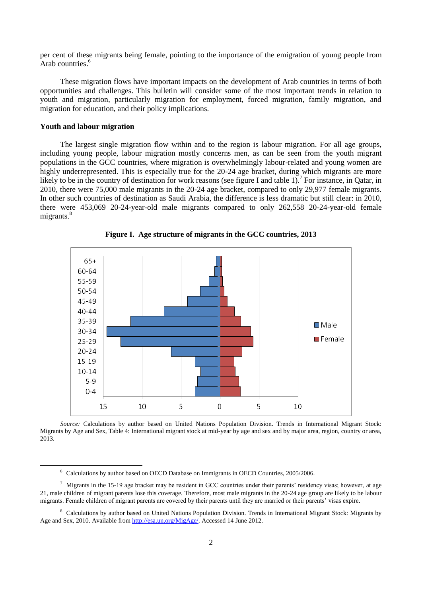per cent of these migrants being female, pointing to the importance of the emigration of young people from Arab countries. 6

These migration flows have important impacts on the development of Arab countries in terms of both opportunities and challenges. This bulletin will consider some of the most important trends in relation to youth and migration, particularly migration for employment, forced migration, family migration, and migration for education, and their policy implications.

### **Youth and labour migration**

1

The largest single migration flow within and to the region is labour migration. For all age groups, including young people, labour migration mostly concerns men, as can be seen from the youth migrant populations in the GCC countries, where migration is overwhelmingly labour-related and young women are highly underrepresented. This is especially true for the 20-24 age bracket, during which migrants are more likely to be in the country of destination for work reasons (see figure I and table 1).<sup>7</sup> For instance, in Qatar, in 2010, there were 75,000 male migrants in the 20-24 age bracket, compared to only 29,977 female migrants. In other such countries of destination as Saudi Arabia, the difference is less dramatic but still clear: in 2010, there were 453,069 20-24-year-old male migrants compared to only 262,558 20-24-year-old female migrants.<sup>8</sup>



**Figure I. Age structure of migrants in the GCC countries, 2013**

*Source:* Calculations by author based on United Nations Population Division. Trends in International Migrant Stock: Migrants by Age and Sex, Table 4: International migrant stock at mid-year by age and sex and by major area, region, country or area, 2013.

<sup>6</sup> Calculations by author based on OECD Database on Immigrants in OECD Countries, 2005/2006.

 $\frac{7}{1}$  Migrants in the 15-19 age bracket may be resident in GCC countries under their parents' residency visas; however, at age 21, male children of migrant parents lose this coverage. Therefore, most male migrants in the 20-24 age group are likely to be labour migrants. Female children of migrant parents are covered by their parents until they are married or their parents' visas expire.

<sup>&</sup>lt;sup>8</sup> Calculations by author based on United Nations Population Division. Trends in International Migrant Stock: Migrants by Age and Sex, 2010. Available fro[m http://esa.un.org/MigAge/.](http://esa.un.org/MigAge/) Accessed 14 June 2012.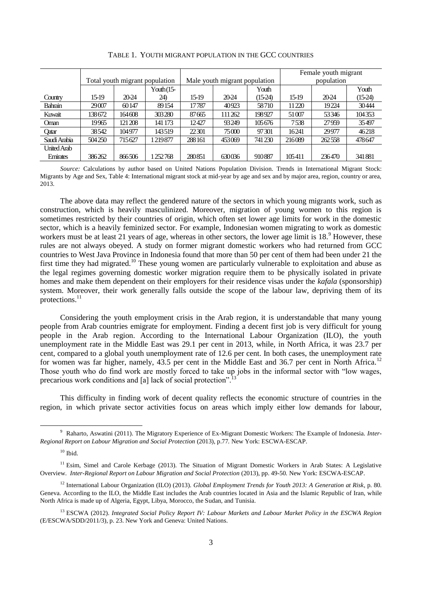|                |                                |         |              |                               |         |           | Female youth migrant |        |           |
|----------------|--------------------------------|---------|--------------|-------------------------------|---------|-----------|----------------------|--------|-----------|
|                | Total youth migrant population |         |              | Male youth migrant population |         |           | population           |        |           |
|                |                                |         | Youth $(15-$ |                               |         | Youth     |                      |        | Youth     |
| Country        | 15-19                          | 20-24   | 24)          | 15-19                         | 20-24   | $(15-24)$ | 15-19                | 20-24  | $(15-24)$ |
| <b>Bahrain</b> | 29007                          | 60147   | 89154        | 17787                         | 40923   | 58710     | 11220                | 19224  | 30444     |
| Kuwait         | 138672                         | 164608  | 303280       | 87665                         | 111 262 | 198927    | 51007                | 53346  | 104353    |
| Oman           | 19965                          | 121 208 | 141 173      | 12427                         | 93249   | 105676    | 7538                 | 27959  | 35497     |
| Qatar          | 38542                          | 104977  | 143519       | 22301                         | 75000   | 97301     | 16241                | 29977  | 46218     |
| Saudi Arabia   | 504250                         | 715627  | 1219877      | 288 161                       | 453069  | 741 230   | 216089               | 262558 | 478647    |
| United Arab    |                                |         |              |                               |         |           |                      |        |           |
| Emirates       | 386262                         | 866506  | 1252768      | 280851                        | 630036  | 910887    | 105411               | 236470 | 341881    |

TABLE 1. YOUTH MIGRANT POPULATION IN THE GCC COUNTRIES

*Source:* Calculations by author based on United Nations Population Division. Trends in International Migrant Stock: Migrants by Age and Sex, Table 4: International migrant stock at mid-year by age and sex and by major area, region, country or area, 2013.

The above data may reflect the gendered nature of the sectors in which young migrants work, such as construction, which is heavily masculinized. Moreover, migration of young women to this region is sometimes restricted by their countries of origin, which often set lower age limits for work in the domestic sector, which is a heavily feminized sector. For example, Indonesian women migrating to work as domestic workers must be at least 21 years of age, whereas in other sectors, the lower age limit is 18.<sup>9</sup> However, these rules are not always obeyed. A study on former migrant domestic workers who had returned from GCC countries to West Java Province in Indonesia found that more than 50 per cent of them had been under 21 the first time they had migrated.<sup>10</sup> These young women are particularly vulnerable to exploitation and abuse as the legal regimes governing domestic worker migration require them to be physically isolated in private homes and make them dependent on their employers for their residence visas under the *kafala* (sponsorship) system. Moreover, their work generally falls outside the scope of the labour law, depriving them of its protections. $^{11}$ 

Considering the youth employment crisis in the Arab region, it is understandable that many young people from Arab countries emigrate for employment. Finding a decent first job is very difficult for young people in the Arab region. According to the International Labour Organization (ILO), the youth unemployment rate in the Middle East was 29.1 per cent in 2013, while, in North Africa, it was 23.7 per cent, compared to a global youth unemployment rate of 12.6 per cent. In both cases, the unemployment rate for women was far higher, namely, 43.5 per cent in the Middle East and 36.7 per cent in North Africa.<sup>12</sup> Those youth who do find work are mostly forced to take up jobs in the informal sector with "low wages, precarious work conditions and [a] lack of social protection".

This difficulty in finding work of decent quality reflects the economic structure of countries in the region, in which private sector activities focus on areas which imply either low demands for labour,

<sup>9</sup> Raharto, Aswatini (2011). The Migratory Experience of Ex-Migrant Domestic Workers: The Example of Indonesia. *Inter-Regional Report on Labour Migration and Social Protection* (2013), p.77*.* New York: ESCWA-ESCAP.

 $10$  Ibid.

 $11$  Esim, Simel and Carole Kerbage (2013). The Situation of Migrant Domestic Workers in Arab States: A Legislative Overview. *Inter-Regional Report on Labour Migration and Social Protection* (2013), pp. 49-50*.* New York: ESCWA-ESCAP.

<sup>12</sup> International Labour Organization (ILO) (2013). *Global Employment Trends for Youth 2013: A Generation at Risk*, p. 80. Geneva. According to the ILO, the Middle East includes the Arab countries located in Asia and the Islamic Republic of Iran, while North Africa is made up of Algeria, Egypt, Libya, Morocco, the Sudan, and Tunisia.

<sup>13</sup> ESCWA (2012). *Integrated Social Policy Report IV: Labour Markets and Labour Market Policy in the ESCWA Region* (E/ESCWA/SDD/2011/3), p. 23. New York and Geneva: United Nations.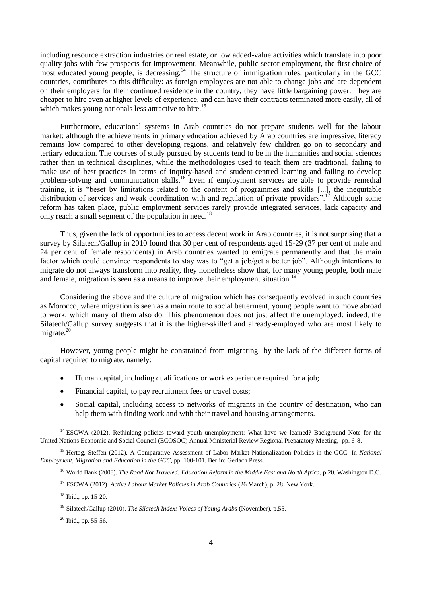including resource extraction industries or real estate, or low added-value activities which translate into poor quality jobs with few prospects for improvement. Meanwhile, public sector employment, the first choice of most educated young people, is decreasing.<sup>14</sup> The structure of immigration rules, particularly in the GCC countries, contributes to this difficulty: as foreign employees are not able to change jobs and are dependent on their employers for their continued residence in the country, they have little bargaining power. They are cheaper to hire even at higher levels of experience, and can have their contracts terminated more easily, all of which makes young nationals less attractive to hire.<sup>15</sup>

Furthermore, educational systems in Arab countries do not prepare students well for the labour market: although the achievements in primary education achieved by Arab countries are impressive, literacy remains low compared to other developing regions, and relatively few children go on to secondary and tertiary education. The courses of study pursued by students tend to be in the humanities and social sciences rather than in technical disciplines, while the methodologies used to teach them are traditional, failing to make use of best practices in terms of inquiry-based and student-centred learning and failing to develop problem-solving and communication skills.<sup>16</sup> Even if employment services are able to provide remedial training, it is "beset by limitations related to the content of programmes and skills [...], the inequitable distribution of services and weak coordination with and regulation of private providers".<sup>17</sup> Although some reform has taken place, public employment services rarely provide integrated services, lack capacity and only reach a small segment of the population in need.<sup>18</sup>

Thus, given the lack of opportunities to access decent work in Arab countries, it is not surprising that a survey by Silatech/Gallup in 2010 found that 30 per cent of respondents aged 15-29 (37 per cent of male and 24 per cent of female respondents) in Arab countries wanted to emigrate permanently and that the main factor which could convince respondents to stay was to "get a job/get a better job". Although intentions to migrate do not always transform into reality, they nonetheless show that, for many young people, both male and female, migration is seen as a means to improve their employment situation.<sup>19</sup>

Considering the above and the culture of migration which has consequently evolved in such countries as Morocco, where migration is seen as a main route to social betterment, young people want to move abroad to work, which many of them also do. This phenomenon does not just affect the unemployed: indeed, the Silatech/Gallup survey suggests that it is the higher-skilled and already-employed who are most likely to migrate. $^{20}$ 

However, young people might be constrained from migrating by the lack of the different forms of capital required to migrate, namely:

- Human capital, including qualifications or work experience required for a job;
- Financial capital, to pay recruitment fees or travel costs;
- Social capital, including access to networks of migrants in the country of destination, who can help them with finding work and with their travel and housing arrangements.

<sup>&</sup>lt;sup>14</sup> ESCWA (2012). Rethinking policies toward youth unemployment: What have we learned? Background Note for the United Nations Economic and Social Council (ECOSOC) Annual Ministerial Review Regional Preparatory Meeting, pp. 6-8.

<sup>15</sup> Hertog, Steffen (2012). A Comparative Assessment of Labor Market Nationalization Policies in the GCC. In *National Employment, Migration and Education in the GCC*, pp. 100-101. Berlin: Gerlach Press.

<sup>&</sup>lt;sup>16</sup> World Bank (2008). *The Road Not Traveled: Education Reform in the Middle East and North Africa, p.20. Washington D.C.* 

<sup>&</sup>lt;sup>17</sup> ESCWA (2012). *Active Labour Market Policies in Arab Countries* (26 March), p. 28. New York.

<sup>18</sup> Ibid., pp. 15-20.

<sup>19</sup> Silatech/Gallup (2010). *The Silatech Index: Voices of Young Arabs* (November)*,* p.55.

 $20$  Ibid., pp. 55-56.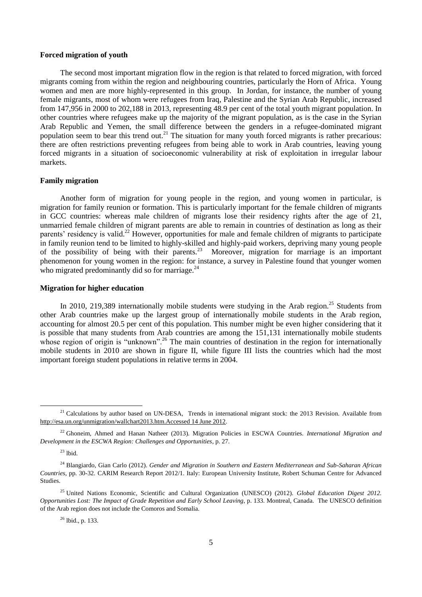## **Forced migration of youth**

The second most important migration flow in the region is that related to forced migration, with forced migrants coming from within the region and neighbouring countries, particularly the Horn of Africa. Young women and men are more highly-represented in this group. In Jordan, for instance, the number of young female migrants, most of whom were refugees from Iraq, Palestine and the Syrian Arab Republic, increased from 147,956 in 2000 to 202,188 in 2013, representing 48.9 per cent of the total youth migrant population. In other countries where refugees make up the majority of the migrant population, as is the case in the Syrian Arab Republic and Yemen, the small difference between the genders in a refugee-dominated migrant population seem to bear this trend out.<sup>21</sup> The situation for many youth forced migrants is rather precarious: there are often restrictions preventing refugees from being able to work in Arab countries, leaving young forced migrants in a situation of socioeconomic vulnerability at risk of exploitation in irregular labour markets.

### **Family migration**

Another form of migration for young people in the region, and young women in particular, is migration for family reunion or formation. This is particularly important for the female children of migrants in GCC countries: whereas male children of migrants lose their residency rights after the age of 21, unmarried female children of migrant parents are able to remain in countries of destination as long as their parents' residency is valid.<sup>22</sup> However, opportunities for male and female children of migrants to participate in family reunion tend to be limited to highly-skilled and highly-paid workers, depriving many young people of the possibility of being with their parents.<sup>23</sup> Moreover, migration for marriage is an important phenomenon for young women in the region: for instance, a survey in Palestine found that younger women who migrated predominantly did so for marriage. $^{24}$ 

#### **Migration for higher education**

In 2010, 219,389 internationally mobile students were studying in the Arab region.<sup>25</sup> Students from other Arab countries make up the largest group of internationally mobile students in the Arab region, accounting for almost 20.5 per cent of this population. This number might be even higher considering that it is possible that many students from Arab countries are among the 151,131 internationally mobile students whose region of origin is "unknown".<sup>26</sup> The main countries of destination in the region for internationally mobile students in 2010 are shown in figure II, while figure III lists the countries which had the most important foreign student populations in relative terms in 2004.

 $23$  lbid.

<sup>&</sup>lt;sup>21</sup> Calculations by author based on UN-DESA, Trends in international migrant stock: the 2013 Revision. Available from http://esa.un.org/unmigration/wallchart2013.htm.Accessed 14 June 2012.

<sup>22</sup> Ghoneim, Ahmed and Hanan Natheer (2013). Migration Policies in ESCWA Countries. *International Migration and Development in the ESCWA Region: Challenges and Opportunities*, p. 27.

<sup>24</sup> Blangiardo, Gian Carlo (2012). *Gender and Migration in Southern and Eastern Mediterranean and Sub-Saharan African Countries*, pp. 30-32*.* CARIM Research Report 2012/1. Italy: European University Institute, Robert Schuman Centre for Advanced Studies.

<sup>&</sup>lt;sup>25</sup> United Nations Economic, Scientific and Cultural Organization (UNESCO) (2012). *Global Education Digest 2012*. *Opportunities Lost: The Impact of Grade Repetition and Early School Leaving*, p. 133. Montreal, Canada. The UNESCO definition of the Arab region does not include the Comoros and Somalia.

<sup>26</sup> lbid., p. 133.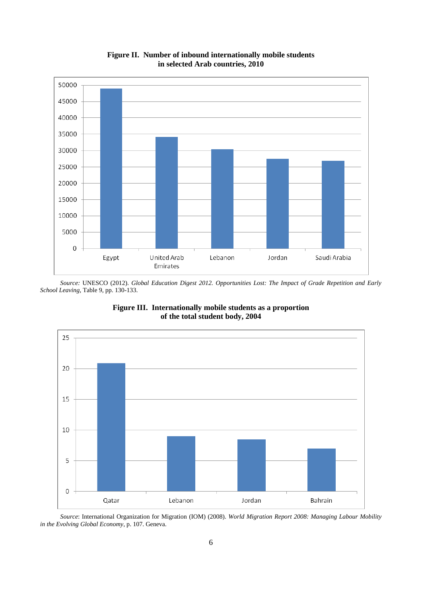

**Figure II. Number of inbound internationally mobile students in selected Arab countries, 2010**

*Source:* UNESCO (2012). *Global Education Digest 2012. Opportunities Lost: The Impact of Grade Repetition and Early School Leaving*, Table 9, pp. 130-133.



**Figure III. Internationally mobile students as a proportion of the total student body, 2004**

*Source*: International Organization for Migration (IOM) (2008). *World Migration Report 2008: Managing Labour Mobility in the Evolving Global Economy*, p. 107. Geneva.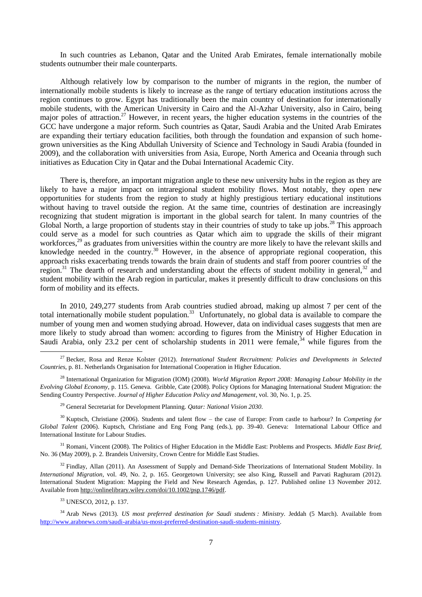In such countries as Lebanon, Qatar and the United Arab Emirates, female internationally mobile students outnumber their male counterparts.

Although relatively low by comparison to the number of migrants in the region, the number of internationally mobile students is likely to increase as the range of tertiary education institutions across the region continues to grow. Egypt has traditionally been the main country of destination for internationally mobile students, with the American University in Cairo and the Al-Azhar University, also in Cairo, being major poles of attraction.<sup>27</sup> However, in recent years, the higher education systems in the countries of the GCC have undergone a major reform. Such countries as Qatar, Saudi Arabia and the United Arab Emirates are expanding their tertiary education facilities, both through the foundation and expansion of such homegrown universities as the King Abdullah University of Science and Technology in Saudi Arabia (founded in 2009), and the collaboration with universities from Asia, Europe, North America and Oceania through such initiatives as Education City in Qatar and the Dubai International Academic City.

There is, therefore, an important migration angle to these new university hubs in the region as they are likely to have a major impact on intraregional student mobility flows. Most notably, they open new opportunities for students from the region to study at highly prestigious tertiary educational institutions without having to travel outside the region. At the same time, countries of destination are increasingly recognizing that student migration is important in the global search for talent. In many countries of the Global North, a large proportion of students stay in their countries of study to take up jobs.<sup>28</sup> This approach could serve as a model for such countries as Qatar which aim to upgrade the skills of their migrant workforces,<sup>29</sup> as graduates from universities within the country are more likely to have the relevant skills and knowledge needed in the country.<sup>30</sup> However, in the absence of appropriate regional cooperation, this approach risks exacerbating trends towards the brain drain of students and staff from poorer countries of the region.<sup>31</sup> The dearth of research and understanding about the effects of student mobility in general,  $32$  and student mobility within the Arab region in particular, makes it presently difficult to draw conclusions on this form of mobility and its effects.

In 2010, 249,277 students from Arab countries studied abroad, making up almost 7 per cent of the total internationally mobile student population.<sup>33</sup> Unfortunately, no global data is available to compare the number of young men and women studying abroad. However, data on individual cases suggests that men are more likely to study abroad than women: according to figures from the Ministry of Higher Education in Saudi Arabia, only 23.2 per cent of scholarship students in 2011 were female,  $34$  while figures from the

<sup>31</sup> Romani, Vincent (2008). The Politics of Higher Education in the Middle East: Problems and Prospects. *Middle East Brief*, No. 36 (May 2009)*,* p. 2*.* Brandeis University, Crown Centre for Middle East Studies.

 $32$  Findlay, Allan (2011). An Assessment of Supply and Demand-Side Theorizations of International Student Mobility. In *International Migration*, vol. 49, No. 2, p. 165. Georgetown University; see also King, Russell and Parvati Raghuram (2012). International Student Migration: Mapping the Field and New Research Agendas, p. 127. Published online 13 November 2012. Available from http://onlinelibrary.wiley.com/doi/10.1002/psp.1746/pdf.

<sup>33</sup> UNESCO, 2012, p. 137.

<sup>27</sup> Becker, Rosa and Renze Kolster (2012). *International Student Recruitment: Policies and Developments in Selected Countries*, p. 81. Netherlands Organisation for International Cooperation in Higher Education.

<sup>28</sup> International Organization for Migration (IOM) (2008). *World Migration Report 2008: Managing Labour Mobility in the Evolving Global Economy*, p. 115. Geneva. Gribble, Cate (2008). Policy Options for Managing International Student Migration: the Sending Country Perspective. *Journal of Higher Education Policy and Management*, vol. 30, No. 1, p. 25.

<sup>29</sup> General Secretariat for Development Planning. *Qatar: National Vision 2030*.

<sup>30</sup> Kuptsch, Christiane (2006). Students and talent flow – the case of Europe: From castle to harbour? In *Competing for Global Talent* (2006). Kuptsch, Christiane and Eng Fong Pang (eds.), pp. 39-40. Geneva: International Labour Office and International Institute for Labour Studies.

<sup>34</sup> Arab News (2013). *US most preferred destination for Saudi students : Ministry.* Jeddah (5 March). Available from [http://www.arabnews.com/saudi-arabia/us-most-preferred-destination-saudi-students-ministry.](http://www.arabnews.com/saudi-arabia/us-most-preferred-destination-saudi-students-ministry)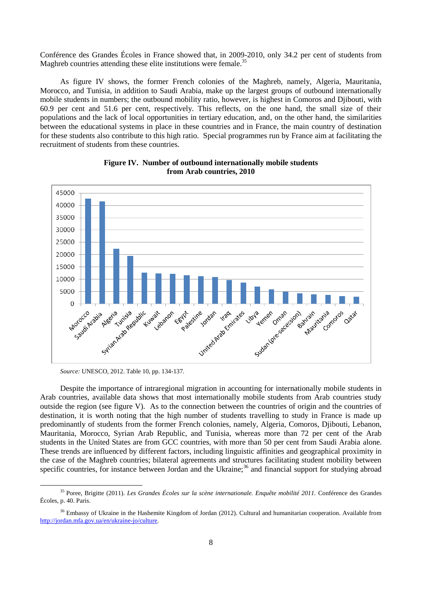Conférence des Grandes Écoles in France showed that, in 2009-2010, only 34.2 per cent of students from Maghreb countries attending these elite institutions were female.<sup>35</sup>

As figure IV shows, the former French colonies of the Maghreb, namely, Algeria, Mauritania, Morocco, and Tunisia, in addition to Saudi Arabia, make up the largest groups of outbound internationally mobile students in numbers; the outbound mobility ratio, however, is highest in Comoros and Djibouti, with 60.9 per cent and 51.6 per cent, respectively. This reflects, on the one hand, the small size of their populations and the lack of local opportunities in tertiary education, and, on the other hand, the similarities between the educational systems in place in these countries and in France, the main country of destination for these students also contribute to this high ratio. Special programmes run by France aim at facilitating the recruitment of students from these countries.



**Figure IV. Number of outbound internationally mobile students from Arab countries, 2010**

*Source:* UNESCO, 2012. Table 10, pp. 134-137.

-

Despite the importance of intraregional migration in accounting for internationally mobile students in Arab countries, available data shows that most internationally mobile students from Arab countries study outside the region (see figure V). As to the connection between the countries of origin and the countries of destination, it is worth noting that the high number of students travelling to study in France is made up predominantly of students from the former French colonies, namely, Algeria, Comoros, Djibouti, Lebanon, Mauritania, Morocco, Syrian Arab Republic, and Tunisia, whereas more than 72 per cent of the Arab students in the United States are from GCC countries, with more than 50 per cent from Saudi Arabia alone. These trends are influenced by different factors, including linguistic affinities and geographical proximity in the case of the Maghreb countries; bilateral agreements and structures facilitating student mobility between specific countries, for instance between Jordan and the Ukraine; $36$  and financial support for studying abroad

<sup>35</sup> Poree, Brigitte (2011). *Les Grandes Écoles sur la scène internationale. Enquête mobilité 2011.* Conférence des Grandes Écoles, p. 40. Paris.

<sup>&</sup>lt;sup>36</sup> Embassy of Ukraine in the Hashemite Kingdom of Jordan (2012). Cultural and humanitarian cooperation. Available from [http://jordan.mfa.gov.ua/en/ukraine-jo/culture.](http://jordan.mfa.gov.ua/en/ukraine-jo/culture)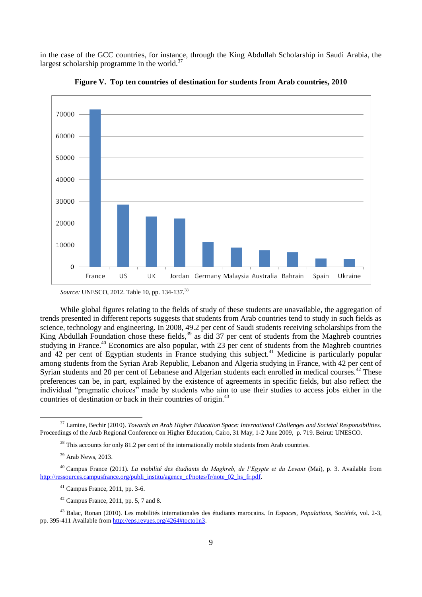in the case of the GCC countries, for instance, through the King Abdullah Scholarship in Saudi Arabia, the largest scholarship programme in the world. $37$ 



**Figure V. Top ten countries of destination for students from Arab countries, 2010**

While global figures relating to the fields of study of these students are unavailable, the aggregation of trends presented in different reports suggests that students from Arab countries tend to study in such fields as science, technology and engineering. In 2008, 49.2 per cent of Saudi students receiving scholarships from the King Abdullah Foundation chose these fields,<sup>39</sup> as did 37 per cent of students from the Maghreb countries studying in France.<sup>40</sup> Economics are also popular, with 23 per cent of students from the Maghreb countries and 42 per cent of Egyptian students in France studying this subject.<sup>41</sup> Medicine is particularly popular among students from the Syrian Arab Republic, Lebanon and Algeria studying in France, with 42 per cent of Syrian students and 20 per cent of Lebanese and Algerian students each enrolled in medical courses.<sup>42</sup> These preferences can be, in part, explained by the existence of agreements in specific fields, but also reflect the individual "pragmatic choices" made by students who aim to use their studies to access jobs either in the countries of destination or back in their countries of origin.<sup>43</sup>

 $38$  This accounts for only 81.2 per cent of the internationally mobile students from Arab countries.

*Source:* UNESCO, 2012. Table 10, pp. 134-137.<sup>38</sup>

<sup>37</sup> Lamine, Bechir (2010). *Towards an Arab Higher Education Space: International Challenges and Societal Responsibilities.*  Proceedings of the Arab Regional Conference on Higher Education, Cairo, 31 May, 1-2 June 2009, p. 719. Beirut: UNESCO.

<sup>39</sup> Arab News, 2013.

<sup>40</sup> Campus France (2011). *La mobilité des étudiants du Maghreb, de l'Egypte et du Levant* (Mai), p. 3. Available from [http://ressources.campusfrance.org/publi\\_institu/agence\\_cf/notes/fr/note\\_02\\_hs\\_fr.pdf.](http://ressources.campusfrance.org/publi_institu/agence_cf/notes/fr/note_02_hs_fr.pdf)

<sup>41</sup> Campus France, 2011, pp. 3-6.

 $42$  Campus France, 2011, pp. 5, 7 and 8.

<sup>43</sup> Balac, Ronan (2010). Les mobilités internationales des étudiants marocains. In *Espaces, Populations, Sociétés*, vol. 2-3, pp. 395-411 Available fro[m http://eps.revues.org/4264#tocto1n3.](http://eps.revues.org/4264#tocto1n3)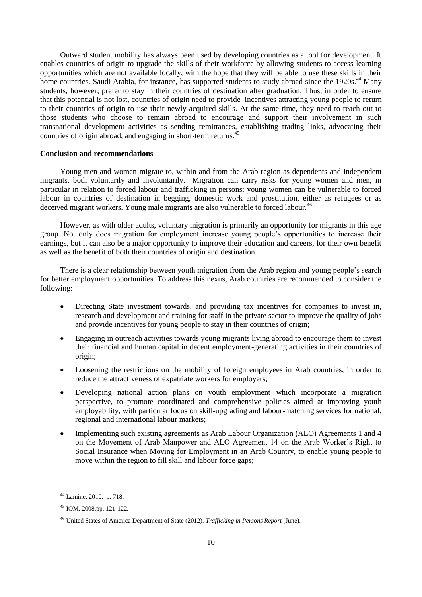Outward student mobility has always been used by developing countries as a tool for development. It enables countries of origin to upgrade the skills of their workforce by allowing students to access learning opportunities which are not available locally, with the hope that they will be able to use these skills in their home countries. Saudi Arabia, for instance, has supported students to study abroad since the 1920s.<sup>44</sup> Many students, however, prefer to stay in their countries of destination after graduation. Thus, in order to ensure that this potential is not lost, countries of origin need to provide incentives attracting young people to return to their countries of origin to use their newly-acquired skills. At the same time, they need to reach out to those students who choose to remain abroad to encourage and support their involvement in such transnational development activities as sending remittances, establishing trading links, advocating their countries of origin abroad, and engaging in short-term returns.<sup>45</sup>

## **Conclusion and recommendations**

Young men and women migrate to, within and from the Arab region as dependents and independent migrants, both voluntarily and involuntarily. Migration can carry risks for young women and men, in particular in relation to forced labour and trafficking in persons: young women can be vulnerable to forced labour in countries of destination in begging, domestic work and prostitution, either as refugees or as deceived migrant workers. Young male migrants are also vulnerable to forced labour.<sup>46</sup>

However, as with older adults, voluntary migration is primarily an opportunity for migrants in this age group. Not only does migration for employment increase young people's opportunities to increase their earnings, but it can also be a major opportunity to improve their education and careers, for their own benefit as well as the benefit of both their countries of origin and destination.

There is a clear relationship between youth migration from the Arab region and young people's search for better employment opportunities. To address this nexus, Arab countries are recommended to consider the following:

- Directing State investment towards, and providing tax incentives for companies to invest in, research and development and training for staff in the private sector to improve the quality of jobs and provide incentives for young people to stay in their countries of origin;
- Engaging in outreach activities towards young migrants living abroad to encourage them to invest their financial and human capital in decent employment-generating activities in their countries of origin;
- Loosening the restrictions on the mobility of foreign employees in Arab countries, in order to reduce the attractiveness of expatriate workers for employers;
- Developing national action plans on youth employment which incorporate a migration perspective, to promote coordinated and comprehensive policies aimed at improving youth employability, with particular focus on skill-upgrading and labour-matching services for national, regional and international labour markets;
- Implementing such existing agreements as Arab Labour Organization (ALO) Agreements 1 and 4 on the Movement of Arab Manpower and ALO Agreement 14 on the Arab Worker's Right to Social Insurance when Moving for Employment in an Arab Country, to enable young people to move within the region to fill skill and labour force gaps;

<sup>44</sup> Lamine, 2010, p. 718.

<sup>45</sup> IOM, 2008,pp. 121-122*.*

<sup>46</sup> United States of America Department of State (2012). *Trafficking in Persons Report* (June).